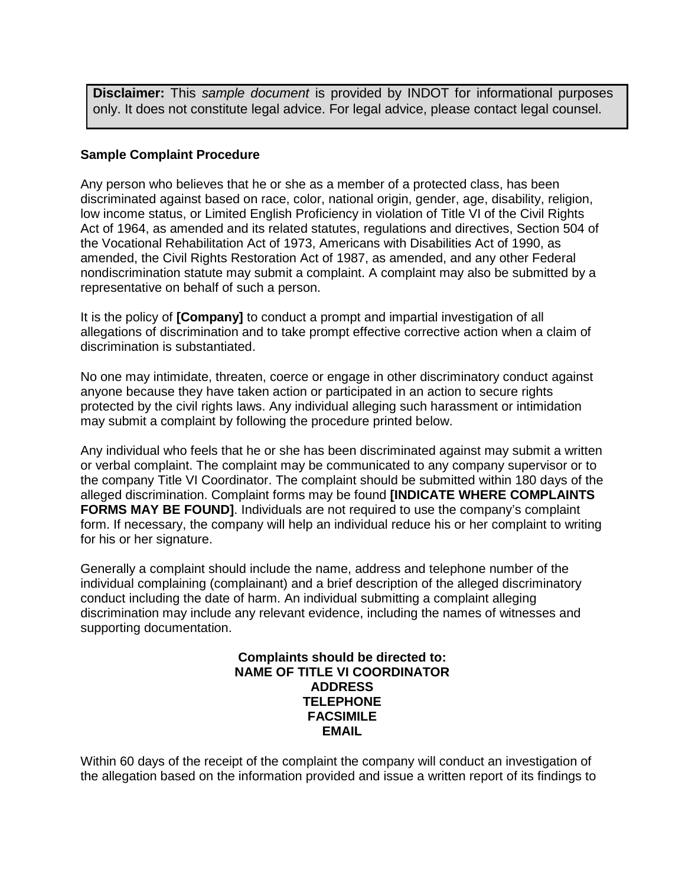**Disclaimer:** This *sample document* is provided by INDOT for informational purposes only. It does not constitute legal advice. For legal advice, please contact legal counsel.

## **Sample Complaint Procedure**

Any person who believes that he or she as a member of a protected class, has been discriminated against based on race, color, national origin, gender, age, disability, religion, low income status, or Limited English Proficiency in violation of Title VI of the Civil Rights Act of 1964, as amended and its related statutes, regulations and directives, Section 504 of the Vocational Rehabilitation Act of 1973, Americans with Disabilities Act of 1990, as amended, the Civil Rights Restoration Act of 1987, as amended, and any other Federal nondiscrimination statute may submit a complaint. A complaint may also be submitted by a representative on behalf of such a person.

It is the policy of **[Company]** to conduct a prompt and impartial investigation of all allegations of discrimination and to take prompt effective corrective action when a claim of discrimination is substantiated.

No one may intimidate, threaten, coerce or engage in other discriminatory conduct against anyone because they have taken action or participated in an action to secure rights protected by the civil rights laws. Any individual alleging such harassment or intimidation may submit a complaint by following the procedure printed below.

Any individual who feels that he or she has been discriminated against may submit a written or verbal complaint. The complaint may be communicated to any company supervisor or to the company Title VI Coordinator. The complaint should be submitted within 180 days of the alleged discrimination. Complaint forms may be found **[INDICATE WHERE COMPLAINTS FORMS MAY BE FOUND]**. Individuals are not required to use the company's complaint form. If necessary, the company will help an individual reduce his or her complaint to writing for his or her signature.

Generally a complaint should include the name, address and telephone number of the individual complaining (complainant) and a brief description of the alleged discriminatory conduct including the date of harm. An individual submitting a complaint alleging discrimination may include any relevant evidence, including the names of witnesses and supporting documentation.

> **Complaints should be directed to: NAME OF TITLE VI COORDINATOR ADDRESS TELEPHONE FACSIMILE EMAIL**

Within 60 days of the receipt of the complaint the company will conduct an investigation of the allegation based on the information provided and issue a written report of its findings to